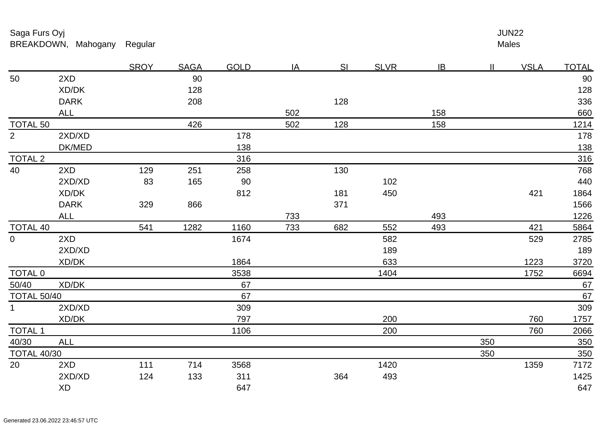|                    |             | <b>SROY</b> | <b>SAGA</b> | <b>GOLD</b> | IA  | SI  | <b>SLVR</b> | IB  | $\mathbf{II}$ | <b>VSLA</b> | <u>TOTAL</u> |
|--------------------|-------------|-------------|-------------|-------------|-----|-----|-------------|-----|---------------|-------------|--------------|
| 50                 | 2XD         |             | 90          |             |     |     |             |     |               |             | 90           |
|                    | XD/DK       |             | 128         |             |     |     |             |     |               |             | 128          |
|                    | <b>DARK</b> |             | 208         |             |     | 128 |             |     |               |             | 336          |
|                    | <b>ALL</b>  |             |             |             | 502 |     |             | 158 |               |             | 660          |
| <b>TOTAL 50</b>    |             |             | 426         |             | 502 | 128 |             | 158 |               |             | <u>1214</u>  |
| $\overline{2}$     | 2XD/XD      |             |             | 178         |     |     |             |     |               |             | 178          |
|                    | DK/MED      |             |             | 138         |     |     |             |     |               |             | <u>138</u>   |
| <b>TOTAL 2</b>     |             |             |             | 316         |     |     |             |     |               |             | 316          |
| 40                 | 2XD         | 129         | 251         | 258         |     | 130 |             |     |               |             | 768          |
|                    | 2XD/XD      | 83          | 165         | 90          |     |     | 102         |     |               |             | 440          |
|                    | XD/DK       |             |             | 812         |     | 181 | 450         |     |               | 421         | 1864         |
|                    | <b>DARK</b> | 329         | 866         |             |     | 371 |             |     |               |             | 1566         |
|                    | <b>ALL</b>  |             |             |             | 733 |     |             | 493 |               |             | 1226         |
| <b>TOTAL 40</b>    |             | 541         | 1282        | 1160        | 733 | 682 | 552         | 493 |               | 421         | 5864         |
| $\overline{0}$     | 2XD         |             |             | 1674        |     |     | 582         |     |               | 529         | 2785         |
|                    | 2XD/XD      |             |             |             |     |     | 189         |     |               |             | 189          |
|                    | XD/DK       |             |             | 1864        |     |     | 633         |     |               | 1223        | 3720         |
| <b>TOTAL 0</b>     |             |             |             | 3538        |     |     | 1404        |     |               | 1752        | 6694         |
| 50/40              | XD/DK       |             |             | 67          |     |     |             |     |               |             | 67           |
| <b>TOTAL 50/40</b> |             |             |             | 67          |     |     |             |     |               |             | 67           |
| 1 <sup>1</sup>     | 2XD/XD      |             |             | 309         |     |     |             |     |               |             | 309          |
|                    | XD/DK       |             |             | 797         |     |     | 200         |     |               | 760         | <u>1757</u>  |
| <b>TOTAL 1</b>     |             |             |             | 1106        |     |     | 200         |     |               | 760         | 2066         |
| 40/30              | <b>ALL</b>  |             |             |             |     |     |             |     | 350           |             | 350          |
| <b>TOTAL 40/30</b> |             |             |             |             |     |     |             |     | 350           |             | 350          |
| 20                 | 2XD         | 111         | 714         | 3568        |     |     | 1420        |     |               | 1359        | 7172         |
|                    | 2XD/XD      | 124         | 133         | 311         |     | 364 | 493         |     |               |             | 1425         |
|                    | XD          |             |             | 647         |     |     |             |     |               |             | 647          |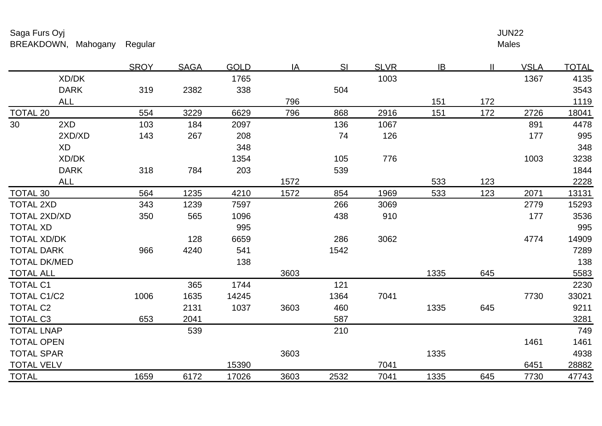Males <u>r and the set of the set of the set of the set of the set of the set of the set of the set of the set of the set of the set of the set of the set of the set of the set of the set of the set of the set of the set of the se</u>

|                                       |                     | <b>SROY</b> | <b>SAGA</b> | <b>GOLD</b> | IA   | SI   | <b>SLVR</b> | IB   | $\mathbf{I}$ | <b>VSLA</b> | <b>TOTAL</b> |
|---------------------------------------|---------------------|-------------|-------------|-------------|------|------|-------------|------|--------------|-------------|--------------|
|                                       | XD/DK               |             |             | 1765        |      |      | 1003        |      |              | 1367        | 4135         |
|                                       | <b>DARK</b>         | 319         | 2382        | 338         |      | 504  |             |      |              |             | 3543         |
|                                       | <b>ALL</b>          |             |             |             | 796  |      |             | 151  | 172          |             | 1119         |
| <b>TOTAL 20</b>                       |                     | 554         | 3229        | 6629        | 796  | 868  | 2916        | 151  | 172          | 2726        | 18041        |
| 30                                    | 2XD                 | 103         | 184         | 2097        |      | 136  | 1067        |      |              | 891         | 4478         |
|                                       | 2XD/XD              | 143         | 267         | 208         |      | 74   | 126         |      |              | 177         | 995          |
|                                       | XD                  |             |             | 348         |      |      |             |      |              |             | 348          |
|                                       | XD/DK               |             |             | 1354        |      | 105  | 776         |      |              | 1003        | 3238         |
|                                       | <b>DARK</b>         | 318         | 784         | 203         |      | 539  |             |      |              |             | 1844         |
|                                       | <b>ALL</b>          |             |             |             | 1572 |      |             | 533  | 123          |             | 2228         |
| <b>TOTAL 30</b>                       |                     | 564         | 1235        | 4210        | 1572 | 854  | 1969        | 533  | 123          | 2071        | 13131        |
| <b>TOTAL 2XD</b>                      |                     | 343         | 1239        | 7597        |      | 266  | 3069        |      |              | 2779        | 15293        |
| <b>TOTAL 2XD/XD</b>                   |                     | 350         | 565         | 1096        |      | 438  | 910         |      |              | 177         | 3536         |
| <b>TOTAL XD</b><br><b>TOTAL XD/DK</b> |                     |             |             | 995         |      |      |             |      |              |             | 995          |
|                                       |                     |             | 128         | 6659        |      | 286  | 3062        |      |              | 4774        | 14909        |
|                                       | <b>TOTAL DARK</b>   | 966         | 4240        | 541         |      | 1542 |             |      |              |             | 7289         |
|                                       | <b>TOTAL DK/MED</b> |             |             | 138         |      |      |             |      |              |             | 138          |
| <b>TOTAL ALL</b>                      |                     |             |             |             | 3603 |      |             | 1335 | 645          |             | 5583         |
| <b>TOTAL C1</b>                       |                     |             | 365         | 1744        |      | 121  |             |      |              |             | 2230         |
|                                       | TOTAL C1/C2         | 1006        | 1635        | 14245       |      | 1364 | 7041        |      |              | 7730        | 33021        |
| <b>TOTAL C2</b>                       |                     |             | 2131        | 1037        | 3603 | 460  |             | 1335 | 645          |             | 9211         |
| <b>TOTAL C3</b>                       |                     | 653         | 2041        |             |      | 587  |             |      |              |             | 3281         |
|                                       | <b>TOTAL LNAP</b>   |             | 539         |             |      | 210  |             |      |              |             | 749          |
|                                       | <b>TOTAL OPEN</b>   |             |             |             |      |      |             |      |              | 1461        | 1461         |
|                                       | <b>TOTAL SPAR</b>   |             |             |             | 3603 |      |             | 1335 |              |             | 4938         |
| <b>TOTAL VELV</b>                     |                     |             |             | 15390       |      |      | 7041        |      |              | 6451        | 28882        |
| <b>TOTAL</b>                          |                     | 1659        | 6172        | 17026       | 3603 | 2532 | 7041        | 1335 | 645          | 7730        | 47743        |
|                                       |                     |             |             |             |      |      |             |      |              |             |              |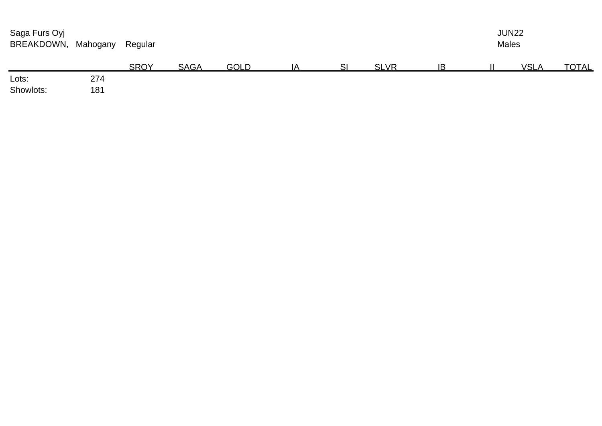| Saga Furs Oyj<br>BREAKDOWN, | Mahogany | Regular     |             | <b>JUN22</b><br><b>Males</b> |    |   |             |    |  |             |              |
|-----------------------------|----------|-------------|-------------|------------------------------|----|---|-------------|----|--|-------------|--------------|
|                             |          | <b>SROY</b> | <b>SAGA</b> | <b>GOLD</b>                  | ΙA | S | <b>SLVR</b> | ΙB |  | <b>VSLA</b> | <b>TOTAL</b> |
| Lots:                       | 274      |             |             |                              |    |   |             |    |  |             |              |
| Showlots:                   | 181      |             |             |                              |    |   |             |    |  |             |              |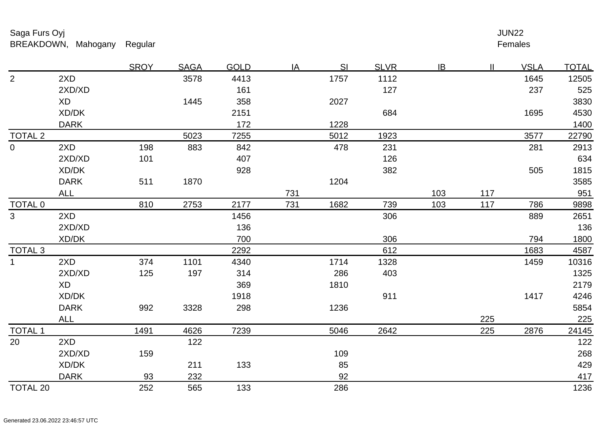### Females r and the state of the state of the state of the state of the state of the state of the state of the state of the state of the state of the state of the state of the state of the state of the state of the state of the stat

|                    |             | <b>SROY</b> | <b>SAGA</b> | <b>GOLD</b> | IA  | <b>SI</b> | <b>SLVR</b> | IB  | $\mathbf{II}$ | <u>VSLA</u> | <u>TOTAL</u> |
|--------------------|-------------|-------------|-------------|-------------|-----|-----------|-------------|-----|---------------|-------------|--------------|
| $\overline{2}$     | 2XD         |             | 3578        | 4413        |     | 1757      | 1112        |     |               | 1645        | 12505        |
|                    | 2XD/XD      |             |             | 161         |     |           | 127         |     |               | 237         | 525          |
|                    | <b>XD</b>   |             | 1445        | 358         |     | 2027      |             |     |               |             | 3830         |
|                    | XD/DK       |             |             | 2151        |     |           | 684         |     |               | 1695        | 4530         |
|                    | <b>DARK</b> |             |             | 172         |     | 1228      |             |     |               |             | 1400         |
| <b>TOTAL 2</b>     |             |             | 5023        | 7255        |     | 5012      | 1923        |     |               | 3577        | 22790        |
| $\overline{0}$     | 2XD         | 198         | 883         | 842         |     | 478       | 231         |     |               | 281         | 2913         |
|                    | 2XD/XD      | 101         |             | 407         |     |           | 126         |     |               |             | 634          |
|                    | XD/DK       |             |             | 928         |     |           | 382         |     |               | 505         | 1815         |
|                    | <b>DARK</b> | 511         | 1870        |             |     | 1204      |             |     |               |             | 3585         |
|                    | <b>ALL</b>  |             |             |             | 731 |           |             | 103 | 117           |             | 951          |
| <b>TOTAL 0</b>     |             | 810         | 2753        | 2177        | 731 | 1682      | 739         | 103 | 117           | 786         | 9898         |
| 3                  | 2XD         |             |             | 1456        |     |           | 306         |     |               | 889         | 2651         |
|                    | 2XD/XD      |             |             | 136         |     |           |             |     |               |             | 136          |
|                    | XD/DK       |             |             | 700         |     |           | 306         |     |               | 794         | 1800         |
| TOTAL <sub>3</sub> |             |             |             | 2292        |     |           | 612         |     |               | 1683        | 4587         |
| $\mathbf{1}$       | 2XD         | 374         | 1101        | 4340        |     | 1714      | 1328        |     |               | 1459        | 10316        |
|                    | 2XD/XD      | 125         | 197         | 314         |     | 286       | 403         |     |               |             | 1325         |
|                    | <b>XD</b>   |             |             | 369         |     | 1810      |             |     |               |             | 2179         |
|                    | XD/DK       |             |             | 1918        |     |           | 911         |     |               | 1417        | 4246         |
|                    | <b>DARK</b> | 992         | 3328        | 298         |     | 1236      |             |     |               |             | 5854         |
|                    | <b>ALL</b>  |             |             |             |     |           |             |     | 225           |             | 225          |
| TOTAL <sub>1</sub> |             | 1491        | 4626        | 7239        |     | 5046      | 2642        |     | 225           | 2876        | 24145        |
| 20                 | 2XD         |             | 122         |             |     |           |             |     |               |             | 122          |
|                    | 2XD/XD      | 159         |             |             |     | 109       |             |     |               |             | 268          |
|                    | XD/DK       |             | 211         | 133         |     | 85        |             |     |               |             | 429          |
|                    | <b>DARK</b> | 93          | 232         |             |     | 92        |             |     |               |             | 417          |
| <b>TOTAL 20</b>    |             | 252         | 565         | 133         |     | 286       |             |     |               |             | 1236         |
|                    |             |             |             |             |     |           |             |     |               |             |              |